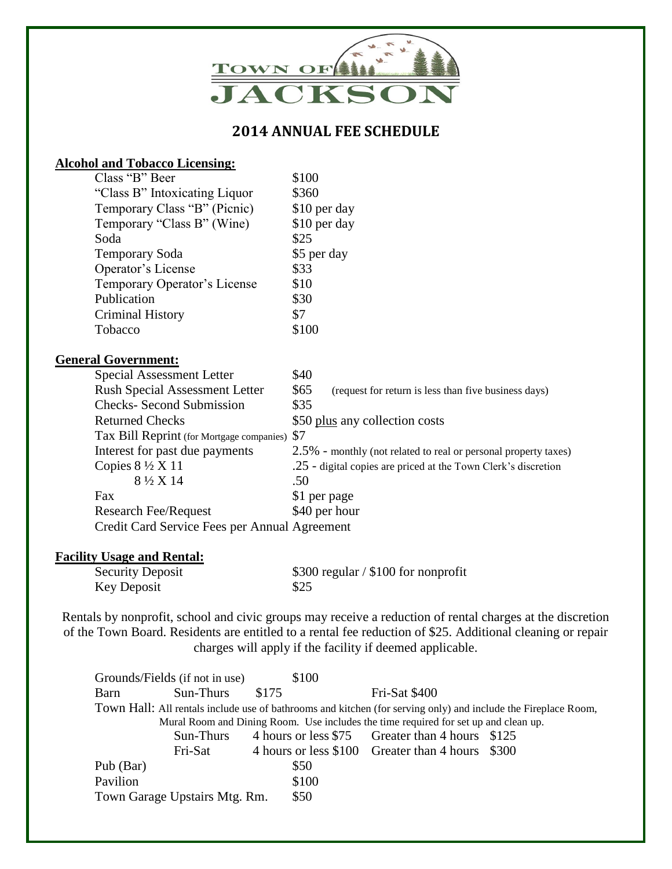

## **2014 ANNUAL FEE SCHEDULE**

## **Alcohol and Tobacco Licensing:**

| Class "B" Beer                                | \$100                                                           |
|-----------------------------------------------|-----------------------------------------------------------------|
| "Class B" Intoxicating Liquor"                | \$360                                                           |
| Temporary Class "B" (Picnic)                  | \$10 per day                                                    |
| Temporary "Class B" (Wine)                    | \$10 per day                                                    |
| Soda                                          | \$25                                                            |
| <b>Temporary Soda</b>                         | \$5 per day                                                     |
| Operator's License                            | \$33                                                            |
| Temporary Operator's License                  | \$10                                                            |
| Publication                                   | \$30                                                            |
| <b>Criminal History</b>                       | \$7                                                             |
| Tobacco                                       | \$100                                                           |
| <b>General Government:</b>                    |                                                                 |
| Special Assessment Letter                     | \$40                                                            |
| <b>Rush Special Assessment Letter</b>         | \$65<br>(request for return is less than five business days)    |
| <b>Checks- Second Submission</b>              | \$35                                                            |
| <b>Returned Checks</b>                        | \$50 plus any collection costs                                  |
| Tax Bill Reprint (for Mortgage companies)     | \$7                                                             |
| Interest for past due payments                | 2.5% - monthly (not related to real or personal property taxes) |
| Copies $8\frac{1}{2}$ X 11                    | .25 - digital copies are priced at the Town Clerk's discretion  |
| 8 ½ X 14                                      | .50                                                             |
| Fax                                           | \$1 per page                                                    |
| <b>Research Fee/Request</b>                   | \$40 per hour                                                   |
| Credit Card Service Fees per Annual Agreement |                                                                 |

## **Facility Usage and Rental:**

| <b>Security Deposit</b> | $$300$ regular / \$100 for nonprofit |
|-------------------------|--------------------------------------|
| Key Deposit             | \$25                                 |

Rentals by nonprofit, school and civic groups may receive a reduction of rental charges at the discretion of the Town Board. Residents are entitled to a rental fee reduction of \$25. Additional cleaning or repair charges will apply if the facility if deemed applicable.

|                                                                                                                | Grounds/Fields (if not in use) |       | \$100 |                                                  |  |  |  |
|----------------------------------------------------------------------------------------------------------------|--------------------------------|-------|-------|--------------------------------------------------|--|--|--|
| Barn                                                                                                           | Sun-Thurs                      | \$175 |       | Fri-Sat \$400                                    |  |  |  |
| Town Hall: All rentals include use of bathrooms and kitchen (for serving only) and include the Fireplace Room, |                                |       |       |                                                  |  |  |  |
| Mural Room and Dining Room. Use includes the time required for set up and clean up.                            |                                |       |       |                                                  |  |  |  |
|                                                                                                                | Sun-Thurs                      |       |       | 4 hours or less \$75 Greater than 4 hours \$125  |  |  |  |
|                                                                                                                | Fri-Sat                        |       |       | 4 hours or less \$100 Greater than 4 hours \$300 |  |  |  |
| Pub (Bar)                                                                                                      |                                |       | \$50  |                                                  |  |  |  |
| Pavilion                                                                                                       |                                |       | \$100 |                                                  |  |  |  |
|                                                                                                                | Town Garage Upstairs Mtg. Rm.  |       | \$50  |                                                  |  |  |  |